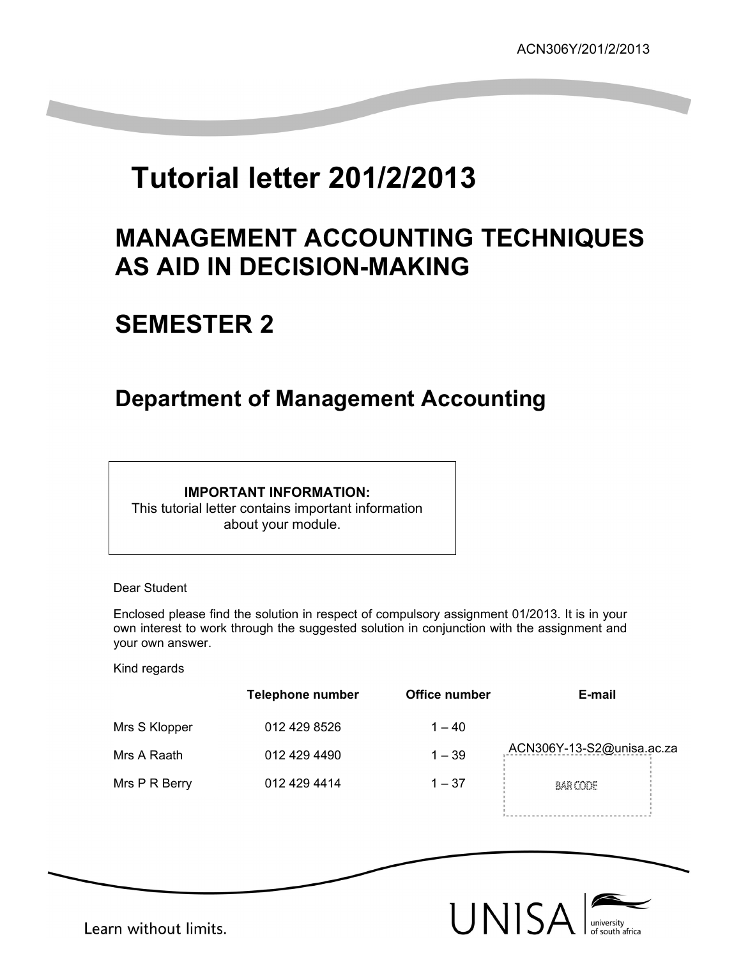# **Tutorial letter 201/2/2013**

## **MANAGEMENT ACCOUNTING TECHNIQUES AS AID IN DECISION-MAKING**

## **SEMESTER 2**

## **Department of Management Accounting**

## **IMPORTANT INFORMATION:**

This tutorial letter contains important information about your module.

Dear Student

Enclosed please find the solution in respect of compulsory assignment 01/2013. It is in your own interest to work through the suggested solution in conjunction with the assignment and your own answer.

Kind regards

|               | <b>Telephone number</b> | Office number | E-mail                    |
|---------------|-------------------------|---------------|---------------------------|
| Mrs S Klopper | 012 429 8526            | $1 - 40$      |                           |
| Mrs A Raath   | 012 429 4490            | $1 - 39$      | ACN306Y-13-S2@unisa.ac.za |
| Mrs P R Berry | 012 429 4414            | $1 - 37$      | BAR CODE                  |
|               |                         |               |                           |



Learn without limits.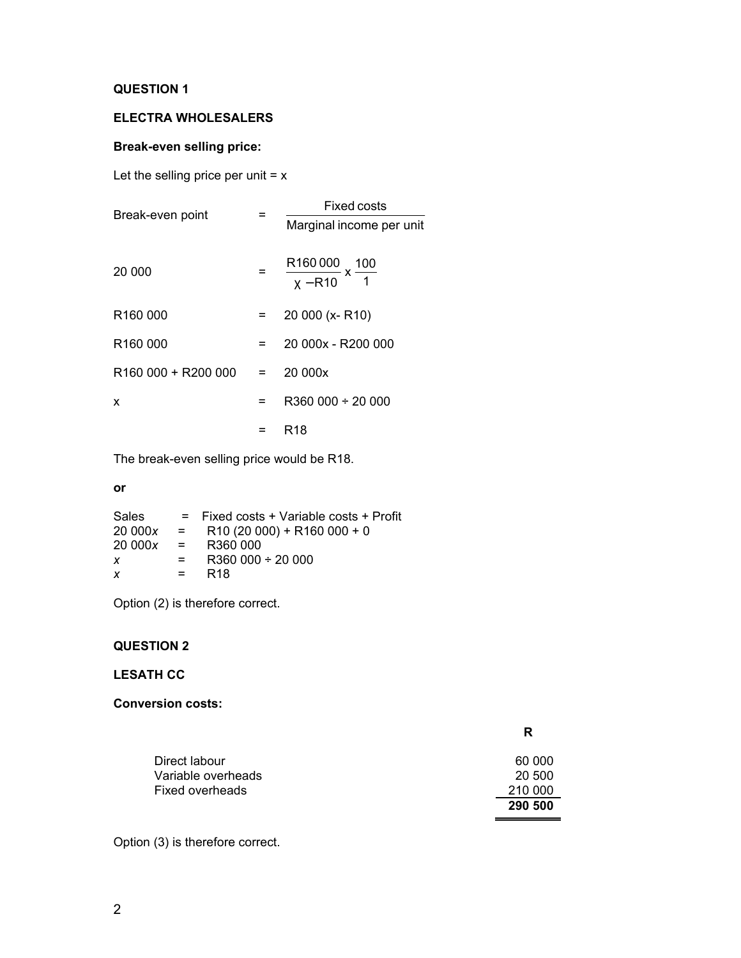## **ELECTRA WHOLESALERS**

## **Break-even selling price:**

Let the selling price per unit  $= x$ 

| Break-even point     |         | Fixed costs                                 |  |  |
|----------------------|---------|---------------------------------------------|--|--|
|                      |         | Marginal income per unit                    |  |  |
| 20 000               |         | $\frac{R160000}{X - R10}$ x $\frac{100}{1}$ |  |  |
| R160 000             |         | 20 000 (x-R10)                              |  |  |
| R <sub>160</sub> 000 | $=$ $-$ | 20 000x - R200 000                          |  |  |
| R160 000 + R200 000  | $=$ $-$ | 20 000x                                     |  |  |
| X                    | =       | R360 000 ÷ 20 000                           |  |  |
|                      |         | R <sub>18</sub>                             |  |  |

The break-even selling price would be R18.

#### **or**

| <b>Sales</b> |              | $=$ Fixed costs + Variable costs + Profit |
|--------------|--------------|-------------------------------------------|
| 20 000x      | $\mathbf{r}$ | $R10(20000) + R160000 + 0$                |
| 20 000x      | <b>E</b>     | R360 000                                  |
| x            | $=$          | $R360000 \div 20000$                      |
| x            | $=$          | R <sub>18</sub>                           |

Option (2) is therefore correct.

## **QUESTION 2**

## **LESATH CC**

## **Conversion costs:**

|                                       | R                 |
|---------------------------------------|-------------------|
| Direct labour                         | 60 000            |
| Variable overheads<br>Fixed overheads | 20 500<br>210 000 |
|                                       | 290 500           |

Option (3) is therefore correct.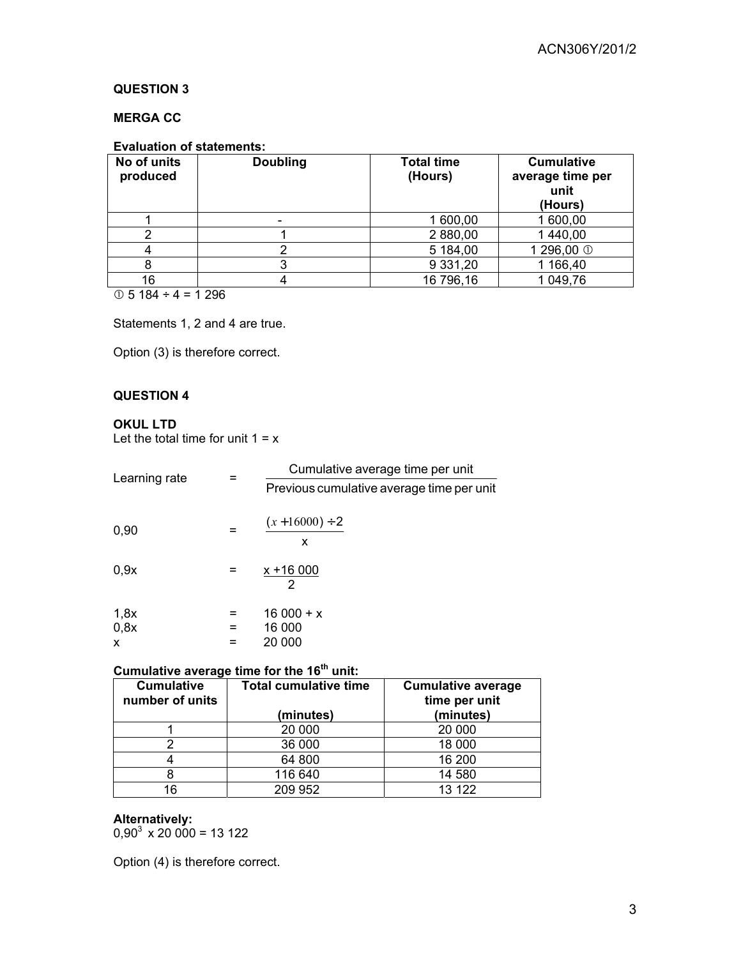## **MERGA CC**

## **Evaluation of statements:**

| No of units<br>produced | <b>Doubling</b>      | <b>Total time</b><br>(Hours) | <b>Cumulative</b><br>average time per<br>unit<br>(Hours) |
|-------------------------|----------------------|------------------------------|----------------------------------------------------------|
|                         | $\blacksquare$       | 1 600,00                     | 1 600,00                                                 |
|                         |                      | 2 880,00                     | 1 440,00                                                 |
|                         |                      | 5 184,00                     | 1 296,00 <sup>①</sup>                                    |
|                         |                      | 9 3 3 1 , 20                 | 1 166,40                                                 |
| 16<br>-                 | $\sim$ $\sim$ $\sim$ | 16 796,16                    | 1 049,76                                                 |

 $\circledcirc$  5 184 ÷ 4 = 1 296

Statements 1, 2 and 4 are true.

Option (3) is therefore correct.

## **QUESTION 4**

### **OKUL LTD**

Let the total time for unit  $1 = x$ 

| Learning rate |     | Cumulative average time per unit          |  |  |
|---------------|-----|-------------------------------------------|--|--|
|               |     | Previous cumulative average time per unit |  |  |
| 0,90          | =   | $(x+16000) \div 2$<br>x                   |  |  |
| 0,9x          |     | $x + 16000$<br>2                          |  |  |
| 1,8x          | =   | $16000 + x$                               |  |  |
| 0,8x          | $=$ | 16 000                                    |  |  |
| X             | =   | 20 000                                    |  |  |

### **Cumulative average time for the 16th unit:**

| <b>Cumulative</b><br>number of units | <b>Total cumulative time</b> | <b>Cumulative average</b><br>time per unit |
|--------------------------------------|------------------------------|--------------------------------------------|
|                                      | (minutes)                    | (minutes)                                  |
|                                      | 20 000                       | 20 000                                     |
|                                      | 36 000                       | 18 000                                     |
|                                      | 64 800                       | 16 200                                     |
|                                      | 116 640                      | 14 580                                     |
| 16                                   | 209 952                      | 13 122                                     |

**Alternatively:** 

 $0,90^3 \times 20\,000 = 13\,122$ 

Option (4) is therefore correct.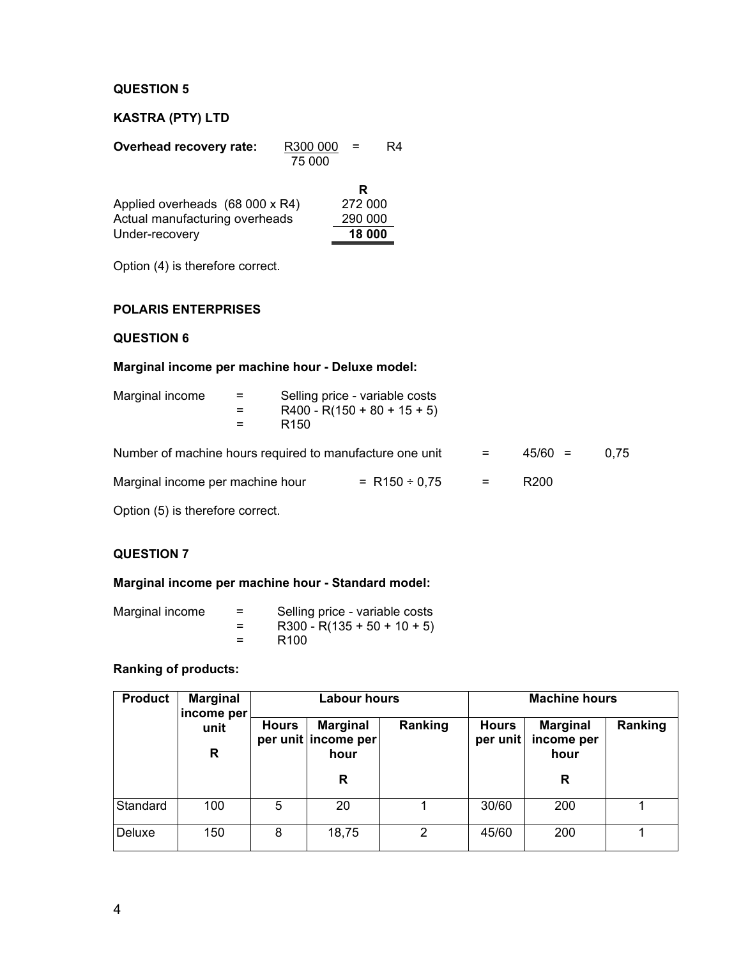## **KASTRA (PTY) LTD**

| Overhead recovery rate:                                           | R300 000<br>75 000 | $=$                     | R4 |
|-------------------------------------------------------------------|--------------------|-------------------------|----|
| Applied overheads (68 000 x R4)<br>Actual manufacturing overheads |                    | R<br>272 000<br>290 000 |    |
| Under-recovery                                                    |                    | 18 000                  |    |

Option (4) is therefore correct.

## **POLARIS ENTERPRISES**

### **QUESTION 6**

## **Marginal income per machine hour - Deluxe model:**

| Marginal income                                          | $=$<br>$=$<br>$=$ | R <sub>150</sub> | Selling price - variable costs<br>$R400 - R(150 + 80 + 15 + 5)$ |     |                  |      |
|----------------------------------------------------------|-------------------|------------------|-----------------------------------------------------------------|-----|------------------|------|
| Number of machine hours required to manufacture one unit |                   |                  |                                                                 | =   | $45/60 =$        | 0.75 |
| Marginal income per machine hour                         |                   |                  | $= R150 \div 0.75$                                              | $=$ | R <sub>200</sub> |      |

Option (5) is therefore correct.

## **QUESTION 7**

### **Marginal income per machine hour - Standard model:**

| Marginal income | $=$     | Selling price - variable costs |
|-----------------|---------|--------------------------------|
|                 | $=$     | $R300 - R(135 + 50 + 10 + 5)$  |
|                 | $=$ $-$ | R <sub>100</sub>               |

## **Ranking of products:**

| <b>Product</b><br><b>Marginal</b><br>income per |           |              | <b>Labour hours</b>                            |         |                          | <b>Machine hours</b>                  |         |  |
|-------------------------------------------------|-----------|--------------|------------------------------------------------|---------|--------------------------|---------------------------------------|---------|--|
|                                                 | unit<br>R | <b>Hours</b> | <b>Marginal</b><br>per unit income per<br>hour | Ranking | <b>Hours</b><br>per unit | <b>Marginal</b><br>income per<br>hour | Ranking |  |
|                                                 |           |              | R                                              |         |                          | R                                     |         |  |
| Standard                                        | 100       | 5            | 20                                             |         | 30/60                    | 200                                   |         |  |
| Deluxe                                          | 150       | 8            | 18,75                                          | 2       | 45/60                    | 200                                   |         |  |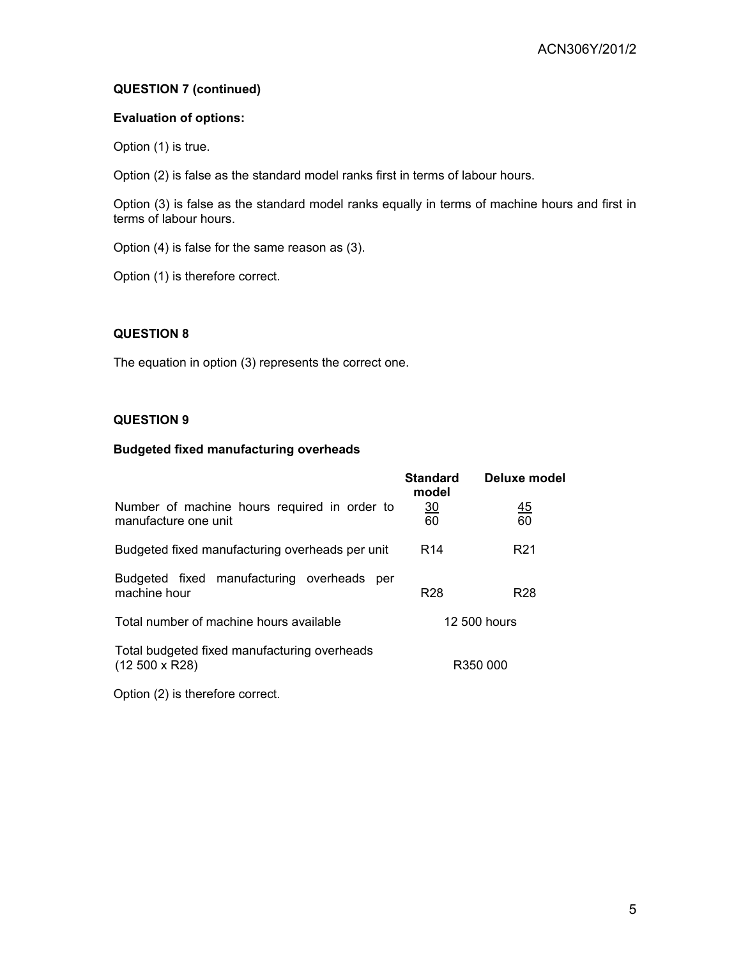## **QUESTION 7 (continued)**

### **Evaluation of options:**

Option (1) is true.

Option (2) is false as the standard model ranks first in terms of labour hours.

Option (3) is false as the standard model ranks equally in terms of machine hours and first in terms of labour hours.

Option (4) is false for the same reason as (3).

Option (1) is therefore correct.

## **QUESTION 8**

The equation in option (3) represents the correct one.

## **QUESTION 9**

### **Budgeted fixed manufacturing overheads**

|                                                                      | <b>Standard</b><br>model | Deluxe model    |
|----------------------------------------------------------------------|--------------------------|-----------------|
| Number of machine hours required in order to<br>manufacture one unit | $\frac{30}{2}$<br>60     | <u>45</u><br>60 |
| Budgeted fixed manufacturing overheads per unit                      | R <sub>14</sub>          | R <sub>21</sub> |
| Budgeted fixed manufacturing overheads<br>per<br>machine hour        | R <sub>28</sub>          | R <sub>28</sub> |
| Total number of machine hours available                              |                          | 12.500 hours    |
| Total budgeted fixed manufacturing overheads<br>$(12500 \times R28)$ |                          | R350 000        |

Option (2) is therefore correct.